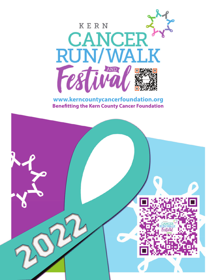

www.kerncountycancerfoundation.org **Benefitting the Kern County Cancer Foundation** 

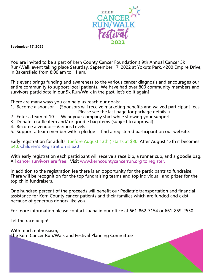

# **September17,2022**

You are invited to be a part of Kern County Cancer Foundation's 9th Annual Cancer 5k Run/Walk event taking place Saturday, September 17, 2022 at Yokuts Park, 4200 Empire Drive, in Bakersfield from 8:00 am to 11 am.

This event brings funding and awareness to the various cancer diagnosis and encourages our entire community to support local patients. We have had over 800 community members and survivors participate in our 5k Run/Walk in the past, let's do it again!

There are many ways you can help us reach our goals:

- 1. Become a sponsor —(Sponsors will receive marketing benefits and waived participant fees.
	- Please see the last page for package details.)
- 2. Enter a team of  $10$  Wear your company shirt while showing your support.
- 3. Donate a raffleitem and/or goodie bagitems (subject to approval).
- 4. Become a vendor—Various Levels
- 5. Support a team member with a pledge —find a registered participant on our website.

Early registration for adults (before August 13th) starts at \$30. After August 13th it becomes \$40. Children's Registration is \$20

With early registration each participant will receive a race bib, a runner cup, and a goodie bag. All cancer survivors are free! Visit www.kerncountycancerrun.org to register.

In addition to the registration fee there is an opportunity for the participants to fundraise. There will be recognition for the top fundraising teams and top individual, and prizes for the top child fundraisers.

One hundred percent of the proceeds will benefit our Pediatric transportation and financial assistance for Kern County cancer patients and their families which are funded and exist because of generous donors like you.

For more information please contact Juana in our office at 661-862-7154 or 661-859-2530

Let the race begin!

With much enthusiasm, The Kern Cancer Run/Walk and Festival Planning Committee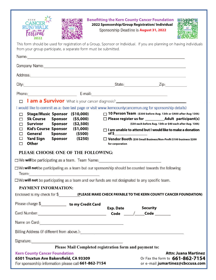



**Benefitting the Kern County Cancer Foundation** 2022 Sponsorship/Group Registration/ Individual Sponsorship Deadline is August 31, 2022



This form should be used for registration of a Group, Sponsor or Individual. If you are planning on having individuals from your group participate, a separate form must be submitted.

| Name: Name:                                                                                                                                                                                                                                                                                   |                                                                                                                                                                                                                                                                                                                                                                                                              |
|-----------------------------------------------------------------------------------------------------------------------------------------------------------------------------------------------------------------------------------------------------------------------------------------------|--------------------------------------------------------------------------------------------------------------------------------------------------------------------------------------------------------------------------------------------------------------------------------------------------------------------------------------------------------------------------------------------------------------|
|                                                                                                                                                                                                                                                                                               | Company Name: <u>example and company neutral</u> company neutral company neutral company neutral company neutral company                                                                                                                                                                                                                                                                                     |
|                                                                                                                                                                                                                                                                                               |                                                                                                                                                                                                                                                                                                                                                                                                              |
|                                                                                                                                                                                                                                                                                               |                                                                                                                                                                                                                                                                                                                                                                                                              |
| Phone: E-mail: E-mail: E-mail: E-mail: E-mail: E-mail: E-mail: E-mail: E-mail: E-mail: E-mail: E-mail: E-mail: E-mail: E-mail: E-mail: E-mail: E-mail: E-mail: E-mail: E-mail: E-mail: E-mail: E-mail: E-mail: E-mail: E-mail:                                                                |                                                                                                                                                                                                                                                                                                                                                                                                              |
| $\Box$                                                                                                                                                                                                                                                                                        | <b>I am a Survivor</b> What is your cancer diagnosis?<br><b>I am a Survivor</b> What is your cancer diagnosis?<br><u>I</u>                                                                                                                                                                                                                                                                                   |
| Stage/Music Sponsor (\$10,000)<br>⊓<br><b>5k Course</b><br><b>Sponsor</b><br>(\$5,000)<br>п<br>Sponsor (\$2,500)<br><b>Survivor</b><br>п<br>Kid's Course Sponsor (\$1,000)<br>□<br>Sponsor<br>(\$500)<br>General<br>П<br>Yard Sign Sponsor (\$250)<br>$\mathcal{L}$<br><b>Other</b><br>$\Box$ | I would like to commit as a: (see last page or visit www.kerncountycancerrun.org for sponsorship details)<br>10 Person Team (\$300 before Aug. 13th or \$400 after Aug 13th)<br>(\$30 each before Aug. 13th or \$40 each after Aug. 13th)<br>$\Box$ I am unable to attend but I would like to make a donation<br>$\Box$ Vendor Booth (\$50 Small Business/Non-Profit \$100 business \$200<br>for corporation |
| PLEASE CHOOSE ONE OF THE FOLLOWING:<br>$\square$ We will be participating as a team. Team Name: $\square$ we will be participating as a team. Team Name:<br>Team:                                                                                                                             | □ We will not be participating as a team but our sponsorship should be counted towards the following                                                                                                                                                                                                                                                                                                         |
| $\Box$ We will not be participating as a team and our funds are not designated to any specific team.                                                                                                                                                                                          |                                                                                                                                                                                                                                                                                                                                                                                                              |
| PAYMENT INFORMATION:                                                                                                                                                                                                                                                                          | Enclosed is my check for \$ (PLEASE MAKE CHECK PAYABLE TO THE KERN COUNTY CANCER FOUNDATION)                                                                                                                                                                                                                                                                                                                 |
| Please charge \$_______________ to my Credit Card<br>Card Number:<br><u> 1980 - Johann Barbara, martin amerikan basal dan berasal dalam basal dan berasal dalam basal dalam basal dan</u>                                                                                                     | <b>Security</b><br>Exp. Date<br>Code $\_\_\_\_\$<br>$\mathsf{Code} \hspace{0.06cm} \blacksquare$                                                                                                                                                                                                                                                                                                             |
|                                                                                                                                                                                                                                                                                               |                                                                                                                                                                                                                                                                                                                                                                                                              |
|                                                                                                                                                                                                                                                                                               | Billing Address (if different from above.): Notice of the state of the state of the state of the state of the state of the state of the state of the state of the state of the state of the state of the state of the state of                                                                                                                                                                               |
| Signature: <u>contract and contract and contract and contract and contract and contract and contract and contract of the set of the set of the set of the set of the set of the set of the set of the set of the set of the set </u>                                                          |                                                                                                                                                                                                                                                                                                                                                                                                              |
| <b>Kern County Cancer Foundation</b><br>6501 Truxtun Ave Bakersfield, CA 93309                                                                                                                                                                                                                | Please Mail Completed registration form and payment to:<br><b>Attn: Juana Martinez</b><br>Or Fax the form to 661-862-7154                                                                                                                                                                                                                                                                                    |
| For sponsorship information please call 661-862-7154                                                                                                                                                                                                                                          | or e-mail jumartinez@cbccusa.com                                                                                                                                                                                                                                                                                                                                                                             |